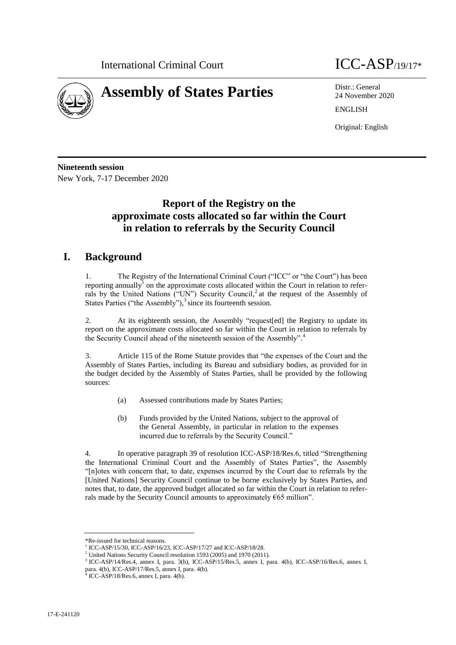



24 November 2020 ENGLISH

Original: English

**Nineteenth session** New York, 7-17 December 2020

## **Report of the Registry on the approximate costs allocated so far within the Court in relation to referrals by the Security Council**

## **I. Background**

1. The Registry of the International Criminal Court ("ICC" or "the Court") has been reporting annually<sup>1</sup> on the approximate costs allocated within the Court in relation to referrals by the United Nations ("UN") Security Council, 2 at the request of the Assembly of States Parties ("the Assembly"),<sup>3</sup> since its fourteenth session.

2. At its eighteenth session, the Assembly "request[ed] the Registry to update its report on the approximate costs allocated so far within the Court in relation to referrals by the Security Council ahead of the nineteenth session of the Assembly". 4

3. Article 115 of the Rome Statute provides that "the expenses of the Court and the Assembly of States Parties, including its Bureau and subsidiary bodies, as provided for in the budget decided by the Assembly of States Parties, shall be provided by the following sources:

- (a) Assessed contributions made by States Parties;
- (b) Funds provided by the United Nations, subject to the approval of the General Assembly, in particular in relation to the expenses incurred due to referrals by the Security Council."

4. In operative paragraph 39 of resolution ICC-ASP/18/Res.6, titled "Strengthening the International Criminal Court and the Assembly of States Parties", the Assembly "[n]otes with concern that, to date, expenses incurred by the Court due to referrals by the [United Nations] Security Council continue to be borne exclusively by States Parties, and notes that, to date, the approved budget allocated so far within the Court in relation to referrals made by the Security Council amounts to approximately  $665$  million".

<sup>\*</sup>Re-issued for technical reasons.

<sup>&</sup>lt;sup>1</sup> ICC-ASP/15/30, ICC-ASP/16/23, ICC-ASP/17/27 and ICC-ASP/18/28.

<sup>2</sup> United Nations Security Council resolution 1593 (2005) and 1970 (2011).

<sup>3</sup> ICC-ASP/14/Res.4, annex I, para. 3(b), ICC-ASP/15/Res.5, annex I, para. 4(b), ICC-ASP/16/Res.6, annex I, para. 4(b), ICC-ASP/17/Res.5, annex I, para. 4(b). 4 ICC-ASP/18/Res.6, annex I, para. 4(b).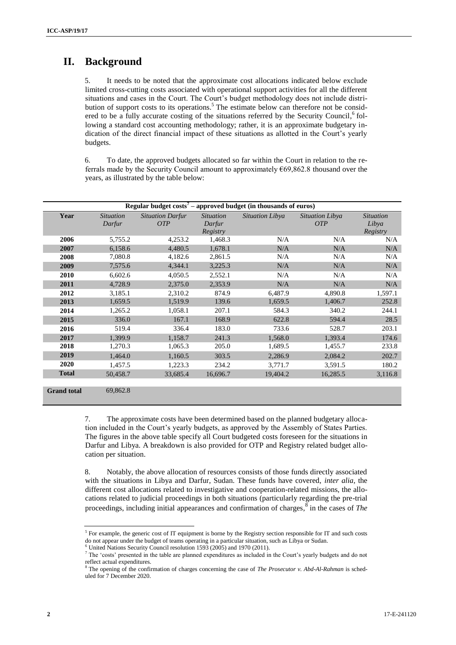## **II. Background**

5. It needs to be noted that the approximate cost allocations indicated below exclude limited cross-cutting costs associated with operational support activities for all the different situations and cases in the Court. The Court's budget methodology does not include distribution of support costs to its operations.<sup>5</sup> The estimate below can therefore not be considered to be a fully accurate costing of the situations referred by the Security Council,<sup>6</sup> following a standard cost accounting methodology; rather, it is an approximate budgetary indication of the direct financial impact of these situations as allotted in the Court's yearly budgets.

6. To date, the approved budgets allocated so far within the Court in relation to the referrals made by the Security Council amount to approximately  $\epsilon$ 69,862.8 thousand over the years, as illustrated by the table below:

| Regular budget $costs7$ – approved budget (in thousands of euros) |                            |                                       |                                        |                 |                                      |                                       |
|-------------------------------------------------------------------|----------------------------|---------------------------------------|----------------------------------------|-----------------|--------------------------------------|---------------------------------------|
| Year                                                              | <i>Situation</i><br>Darfur | <b>Situation Darfur</b><br><b>OTP</b> | <i>Situation</i><br>Darfur<br>Registry | Situation Libya | <b>Situation Libya</b><br><b>OTP</b> | <i>Situation</i><br>Libya<br>Registry |
| 2006                                                              | 5,755.2                    | 4,253.2                               | 1,468.3                                | N/A             | N/A                                  | N/A                                   |
| 2007                                                              | 6,158.6                    | 4,480.5                               | 1,678.1                                | N/A             | N/A                                  | N/A                                   |
| 2008                                                              | 7,080.8                    | 4,182.6                               | 2,861.5                                | N/A             | N/A                                  | N/A                                   |
| 2009                                                              | 7,575.6                    | 4,344.1                               | 3,225.3                                | N/A             | N/A                                  | N/A                                   |
| 2010                                                              | 6,602.6                    | 4,050.5                               | 2,552.1                                | N/A             | N/A                                  | N/A                                   |
| 2011                                                              | 4,728.9                    | 2,375.0                               | 2,353.9                                | N/A             | N/A                                  | N/A                                   |
| 2012                                                              | 3,185.1                    | 2,310.2                               | 874.9                                  | 6,487.9         | 4,890.8                              | 1,597.1                               |
| 2013                                                              | 1,659.5                    | 1,519.9                               | 139.6                                  | 1,659.5         | 1,406.7                              | 252.8                                 |
| 2014                                                              | 1,265.2                    | 1,058.1                               | 207.1                                  | 584.3           | 340.2                                | 244.1                                 |
| 2015                                                              | 336.0                      | 167.1                                 | 168.9                                  | 622.8           | 594.4                                | 28.5                                  |
| 2016                                                              | 519.4                      | 336.4                                 | 183.0                                  | 733.6           | 528.7                                | 203.1                                 |
| 2017                                                              | 1,399.9                    | 1,158.7                               | 241.3                                  | 1,568.0         | 1,393.4                              | 174.6                                 |
| 2018                                                              | 1,270.3                    | 1,065.3                               | 205.0                                  | 1,689.5         | 1,455.7                              | 233.8                                 |
| 2019                                                              | 1,464.0                    | 1,160.5                               | 303.5                                  | 2,286.9         | 2,084.2                              | 202.7                                 |
| 2020                                                              | 1,457.5                    | 1,223.3                               | 234.2                                  | 3,771.7         | 3,591.5                              | 180.2                                 |
| <b>Total</b>                                                      | 50,458.7                   | 33,685.4                              | 16,696.7                               | 19,404.2        | 16,285.5                             | 3,116.8                               |
|                                                                   |                            |                                       |                                        |                 |                                      |                                       |
| <b>Grand</b> total                                                | 69,862.8                   |                                       |                                        |                 |                                      |                                       |

7. The approximate costs have been determined based on the planned budgetary allocation included in the Court's yearly budgets, as approved by the Assembly of States Parties. The figures in the above table specify all Court budgeted costs foreseen for the situations in Darfur and Libya. A breakdown is also provided for OTP and Registry related budget allocation per situation.

8. Notably, the above allocation of resources consists of those funds directly associated with the situations in Libya and Darfur, Sudan. These funds have covered, *inter alia*, the different cost allocations related to investigative and cooperation-related missions, the allocations related to judicial proceedings in both situations (particularly regarding the pre-trial proceedings, including initial appearances and confirmation of charges,  $\frac{8}{3}$  in the cases of *The* 

 $6$  United Nations Security Council resolution 1593 (2005) and 1970 (2011).

 $<sup>5</sup>$  For example, the generic cost of IT equipment is borne by the Registry section responsible for IT and such costs</sup> do not appear under the budget of teams operating in a particular situation, such as Libya or Sudan.

<sup>7</sup> The 'costs' presented in the table are planned expenditures as included in the Court's yearly budgets and do not reflect actual expenditures.

<sup>8</sup> The opening of the confirmation of charges concerning the case of *The Prosecutor v. Abd-Al-Rahman* is scheduled for 7 December 2020.